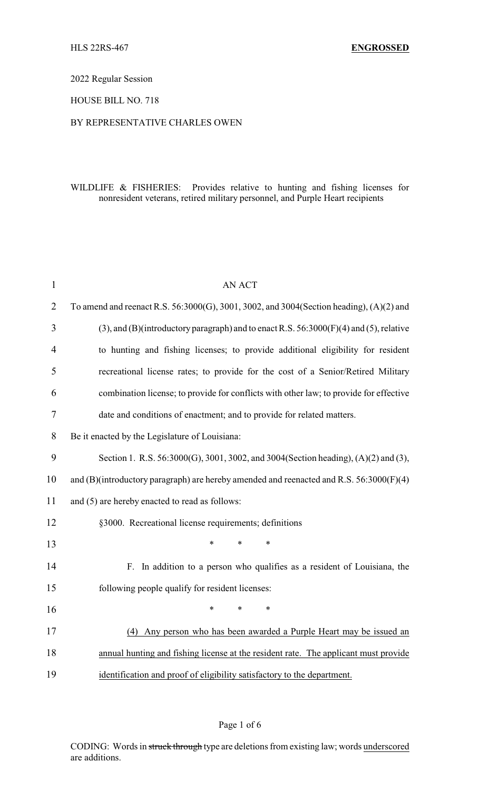## 2022 Regular Session

#### HOUSE BILL NO. 718

#### BY REPRESENTATIVE CHARLES OWEN

## WILDLIFE & FISHERIES: Provides relative to hunting and fishing licenses for nonresident veterans, retired military personnel, and Purple Heart recipients

| $\mathbf{1}$   | <b>AN ACT</b>                                                                                |  |  |
|----------------|----------------------------------------------------------------------------------------------|--|--|
| $\overline{2}$ | To amend and reenact R.S. 56:3000(G), 3001, 3002, and 3004(Section heading), (A)(2) and      |  |  |
| 3              | $(3)$ , and $(B)$ (introductory paragraph) and to enact R.S. 56:3000(F)(4) and (5), relative |  |  |
| 4              | to hunting and fishing licenses; to provide additional eligibility for resident              |  |  |
| 5              | recreational license rates; to provide for the cost of a Senior/Retired Military             |  |  |
| 6              | combination license; to provide for conflicts with other law; to provide for effective       |  |  |
| 7              | date and conditions of enactment; and to provide for related matters.                        |  |  |
| 8              | Be it enacted by the Legislature of Louisiana:                                               |  |  |
| 9              | Section 1. R.S. 56:3000(G), 3001, 3002, and 3004(Section heading), (A)(2) and (3),           |  |  |
| 10             | and (B)(introductory paragraph) are hereby amended and reenacted and R.S. 56:3000(F)(4)      |  |  |
| 11             | and (5) are hereby enacted to read as follows:                                               |  |  |
| 12             | §3000. Recreational license requirements; definitions                                        |  |  |
| 13             | $\ast$<br>*                                                                                  |  |  |
| 14             | F. In addition to a person who qualifies as a resident of Louisiana, the                     |  |  |
| 15             | following people qualify for resident licenses:                                              |  |  |
| 16             | $\ast$<br>*                                                                                  |  |  |
| 17             | (4) Any person who has been awarded a Purple Heart may be issued an                          |  |  |
| 18             | annual hunting and fishing license at the resident rate. The applicant must provide          |  |  |
| 19             | identification and proof of eligibility satisfactory to the department.                      |  |  |

#### Page 1 of 6

CODING: Words in struck through type are deletions from existing law; words underscored are additions.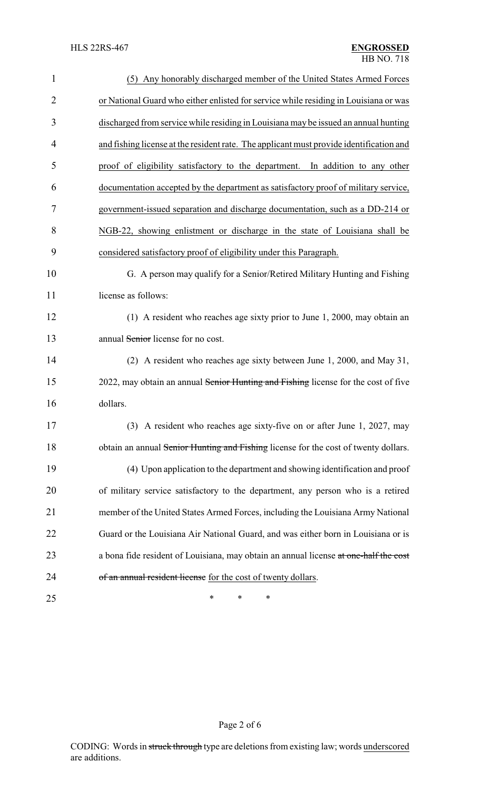| $\mathbf{1}$   | (5) Any honorably discharged member of the United States Armed Forces                   |
|----------------|-----------------------------------------------------------------------------------------|
| $\overline{2}$ | or National Guard who either enlisted for service while residing in Louisiana or was    |
| 3              | discharged from service while residing in Louisiana may be issued an annual hunting     |
| 4              | and fishing license at the resident rate. The applicant must provide identification and |
| 5              | proof of eligibility satisfactory to the department. In addition to any other           |
| 6              | documentation accepted by the department as satisfactory proof of military service,     |
| 7              | government-issued separation and discharge documentation, such as a DD-214 or           |
| 8              | NGB-22, showing enlistment or discharge in the state of Louisiana shall be              |
| 9              | considered satisfactory proof of eligibility under this Paragraph.                      |
| 10             | G. A person may qualify for a Senior/Retired Military Hunting and Fishing               |
| 11             | license as follows:                                                                     |
| 12             | (1) A resident who reaches age sixty prior to June 1, 2000, may obtain an               |
| 13             | annual Senior license for no cost.                                                      |
| 14             | (2) A resident who reaches age sixty between June 1, 2000, and May 31,                  |
| 15             | 2022, may obtain an annual Senior Hunting and Fishing license for the cost of five      |
| 16             | dollars.                                                                                |
| 17             | (3) A resident who reaches age sixty-five on or after June 1, 2027, may                 |
| 18             | obtain an annual Senior Hunting and Fishing license for the cost of twenty dollars.     |
| 19             | (4) Upon application to the department and showing identification and proof             |
| 20             | of military service satisfactory to the department, any person who is a retired         |
| 21             | member of the United States Armed Forces, including the Louisiana Army National         |
| 22             | Guard or the Louisiana Air National Guard, and was either born in Louisiana or is       |
| 23             | a bona fide resident of Louisiana, may obtain an annual license at one-half the cost    |
| 24             | of an annual resident license for the cost of twenty dollars.                           |
| 25             | ∗<br>∗<br>∗                                                                             |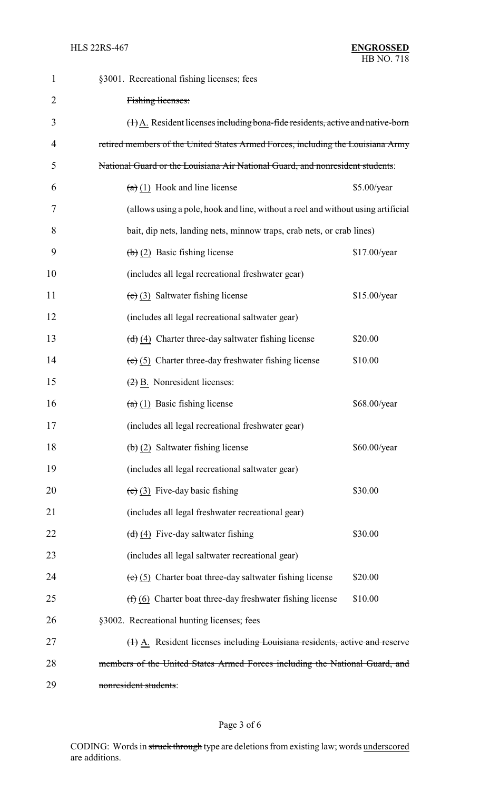| 1              | §3001. Recreational fishing licenses; fees                                                      |  |
|----------------|-------------------------------------------------------------------------------------------------|--|
| $\overline{2}$ | Fishing licenses:                                                                               |  |
| 3              | $(\dagger)$ A. Resident licenses including bona-fide residents, active and native-born          |  |
| 4              | retired members of the United States Armed Forces, including the Louisiana Army                 |  |
| 5              | National Guard or the Louisiana Air National Guard, and nonresident students:                   |  |
| 6              | $(a)$ (1) Hook and line license<br>\$5.00/year                                                  |  |
| 7              | (allows using a pole, hook and line, without a reel and without using artificial                |  |
| 8              | bait, dip nets, landing nets, minnow traps, crab nets, or crab lines)                           |  |
| 9              | $\left(\frac{1}{2}\right)$ (2) Basic fishing license<br>\$17.00/year                            |  |
| 10             | (includes all legal recreational freshwater gear)                                               |  |
| 11             | $(e)$ (3) Saltwater fishing license<br>\$15.00/year                                             |  |
| 12             | (includes all legal recreational saltwater gear)                                                |  |
| 13             | $\left(\frac{d}{d}\right)\left(4\right)$ Charter three-day saltwater fishing license<br>\$20.00 |  |
| 14             | \$10.00<br>$(e)$ (5) Charter three-day freshwater fishing license                               |  |
| 15             | $\left(\frac{2}{2}\right)$ B. Nonresident licenses:                                             |  |
| 16             | $(a)$ (1) Basic fishing license<br>\$68.00/year                                                 |  |
| 17             | (includes all legal recreational freshwater gear)                                               |  |
| 18             | $\left(\frac{1}{2}\right)$ Saltwater fishing license<br>\$60.00/year                            |  |
| 19             | (includes all legal recreational saltwater gear)                                                |  |
| 20             | $(e)$ (3) Five-day basic fishing<br>\$30.00                                                     |  |
| 21             | (includes all legal freshwater recreational gear)                                               |  |
| 22             | $\left(\frac{d}{d}\right)$ (4) Five-day saltwater fishing<br>\$30.00                            |  |
| 23             | (includes all legal saltwater recreational gear)                                                |  |
| 24             | $(e)$ (5) Charter boat three-day saltwater fishing license<br>\$20.00                           |  |
| 25             | \$10.00<br>$(f)$ (6) Charter boat three-day freshwater fishing license                          |  |
| 26             | §3002. Recreational hunting licenses; fees                                                      |  |
| 27             | (1) A. Resident licenses including Louisiana residents, active and reserve                      |  |
| 28             | members of the United States Armed Forces including the National Guard, and                     |  |
| 29             | nonresident students:                                                                           |  |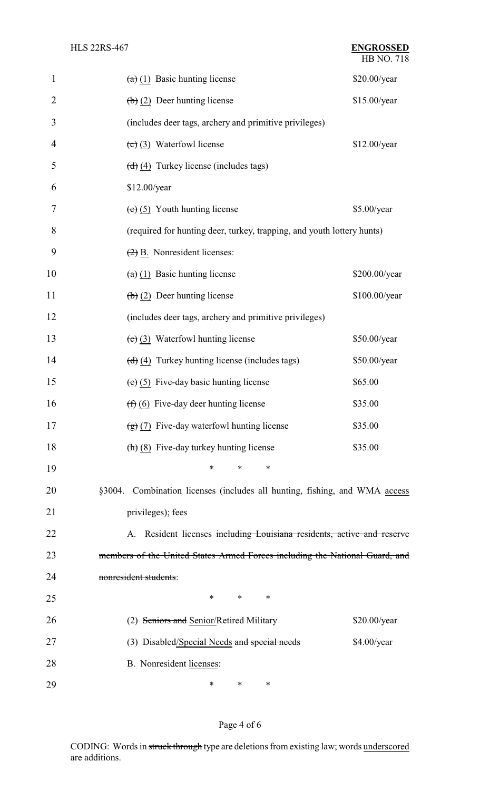| $\mathbf{1}$   | $(a)$ (1) Basic hunting license                                             | \$20.00/year  |  |
|----------------|-----------------------------------------------------------------------------|---------------|--|
| $\overline{2}$ | $\left(\frac{b}{c}\right)$ (2) Deer hunting license                         | \$15.00/year  |  |
| 3              | (includes deer tags, archery and primitive privileges)                      |               |  |
| 4              | $(e)$ (3) Waterfowl license                                                 | \$12.00/year  |  |
| 5              | $\left(\frac{d}{d}\right)$ (4) Turkey license (includes tags)               |               |  |
| 6              | \$12.00/year                                                                |               |  |
| 7              | $(e)$ (5) Youth hunting license                                             | \$5.00/year   |  |
| 8              | (required for hunting deer, turkey, trapping, and youth lottery hunts)      |               |  |
| 9              | $(2)$ B. Nonresident licenses:                                              |               |  |
| 10             | $(a)$ (1) Basic hunting license                                             | \$200.00/year |  |
| 11             | $\left(\frac{b}{c}\right)$ (2) Deer hunting license                         | \$100.00/year |  |
| 12             | (includes deer tags, archery and primitive privileges)                      |               |  |
| 13             | $(c)$ (3) Waterfowl hunting license                                         | \$50.00/year  |  |
| 14             | $\left(\frac{d}{d}\right)$ (4) Turkey hunting license (includes tags)       | \$50.00/year  |  |
| 15             | $(e)$ (5) Five-day basic hunting license                                    | \$65.00       |  |
| 16             | $(f)$ (6) Five-day deer hunting license                                     | \$35.00       |  |
| 17             | $\left(\frac{1}{2}\right)$ (7) Five-day waterfowl hunting license           | \$35.00       |  |
| 18             | $\left(\frac{\hbar}{\hbar}\right)$ (8) Five-day turkey hunting license      | \$35.00       |  |
| 19             | *<br>∗<br>∗                                                                 |               |  |
| 20             | §3004. Combination licenses (includes all hunting, fishing, and WMA access  |               |  |
| 21             | privileges); fees                                                           |               |  |
| 22             | A. Resident licenses including Louisiana residents, active and reserve      |               |  |
| 23             | members of the United States Armed Forces including the National Guard, and |               |  |
| 24             | nonresident students:                                                       |               |  |
| 25             | $\ast$<br>*<br>$\ast$                                                       |               |  |
| 26             | (2) Seniors and Senior/Retired Military                                     | \$20.00/year  |  |
| 27             | (3) Disabled/Special Needs and special needs                                | \$4.00/year   |  |
| 28             | B. Nonresident licenses:                                                    |               |  |
| 29             | ∗<br>$\ast$<br>∗                                                            |               |  |

# Page 4 of 6

CODING: Words in struck through type are deletions from existing law; words underscored are additions.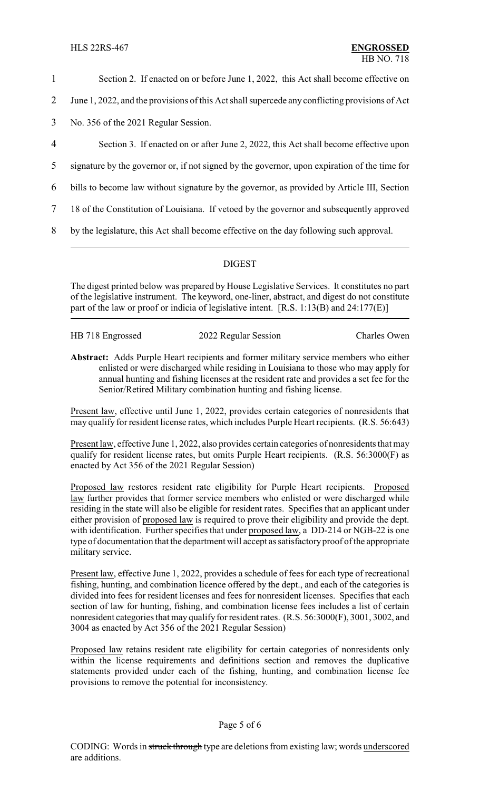- 1 Section 2. If enacted on or before June 1, 2022, this Act shall become effective on
- 2 June 1, 2022, and the provisions of this Act shall supercede any conflicting provisions of Act
- 3 No. 356 of the 2021 Regular Session.
- 4 Section 3. If enacted on or after June 2, 2022, this Act shall become effective upon
- 5 signature by the governor or, if not signed by the governor, upon expiration of the time for
- 6 bills to become law without signature by the governor, as provided by Article III, Section
- 7 18 of the Constitution of Louisiana. If vetoed by the governor and subsequently approved
- 8 by the legislature, this Act shall become effective on the day following such approval.

## DIGEST

The digest printed below was prepared by House Legislative Services. It constitutes no part of the legislative instrument. The keyword, one-liner, abstract, and digest do not constitute part of the law or proof or indicia of legislative intent. [R.S. 1:13(B) and 24:177(E)]

| HB 718 Engrossed | 2022 Regular Session | <b>Charles Owen</b> |
|------------------|----------------------|---------------------|

**Abstract:** Adds Purple Heart recipients and former military service members who either enlisted or were discharged while residing in Louisiana to those who may apply for annual hunting and fishing licenses at the resident rate and provides a set fee for the Senior/Retired Military combination hunting and fishing license.

Present law, effective until June 1, 2022, provides certain categories of nonresidents that may qualify for resident license rates, which includes Purple Heart recipients. (R.S. 56:643)

Present law, effective June 1, 2022, also provides certain categories of nonresidents that may qualify for resident license rates, but omits Purple Heart recipients. (R.S. 56:3000(F) as enacted by Act 356 of the 2021 Regular Session)

Proposed law restores resident rate eligibility for Purple Heart recipients. Proposed law further provides that former service members who enlisted or were discharged while residing in the state will also be eligible for resident rates. Specifies that an applicant under either provision of proposed law is required to prove their eligibility and provide the dept. with identification. Further specifies that under proposed law, a DD-214 or NGB-22 is one type of documentation that the department will accept as satisfactoryproof of the appropriate military service.

Present law, effective June 1, 2022, provides a schedule of fees for each type of recreational fishing, hunting, and combination licence offered by the dept., and each of the categories is divided into fees for resident licenses and fees for nonresident licenses. Specifies that each section of law for hunting, fishing, and combination license fees includes a list of certain nonresident categories that may qualify for resident rates. (R.S. 56:3000(F), 3001, 3002, and 3004 as enacted by Act 356 of the 2021 Regular Session)

Proposed law retains resident rate eligibility for certain categories of nonresidents only within the license requirements and definitions section and removes the duplicative statements provided under each of the fishing, hunting, and combination license fee provisions to remove the potential for inconsistency.